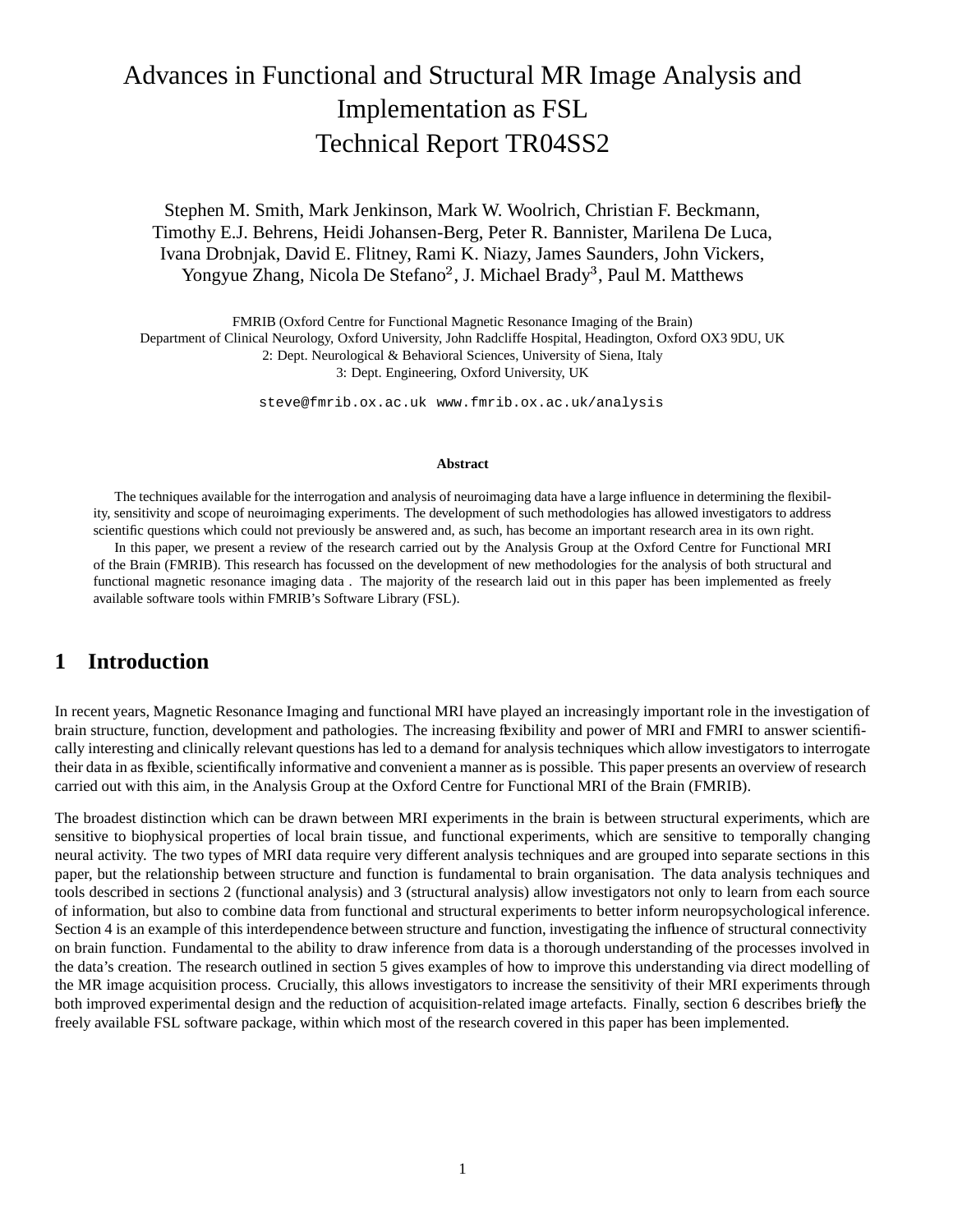# Advances in Functional and Structural MR Image Analysis and Implementation as FSL Technical Report TR04SS2

Stephen M. Smith, Mark Jenkinson, Mark W. Woolrich, Christian F. Beckmann, Timothy E.J. Behrens, Heidi Johansen-Berg, Peter R. Bannister, Marilena De Luca, Ivana Drobnjak, David E. Flitney, Rami K. Niazy, James Saunders, John Vickers, Yongyue Zhang, Nicola De Stefano<sup>2</sup>, J. Michael Brady<sup>3</sup>, Paul M. Matthews

FMRIB (Oxford Centre for Functional Magnetic Resonance Imaging of the Brain) Department of Clinical Neurology, Oxford University, John Radcliffe Hospital, Headington, Oxford OX3 9DU, UK 2: Dept. Neurological & Behavioral Sciences, University of Siena, Italy

3: Dept. Engineering, Oxford University, UK

steve@fmrib.ox.ac.uk www.fmrib.ox.ac.uk/analysis

#### **Abstract**

The techniques available for the interrogation and analysis of neuroimaging data have a large influence in determining the flexibility, sensitivity and scope of neuroimaging experiments. The development of such methodologies has allowed investigators to address scientific questions which could not previously be answered and, as such, has become an important research area in its own right.

In this paper, we present a review of the research carried out by the Analysis Group at the Oxford Centre for Functional MRI of the Brain (FMRIB). This research has focussed on the development of new methodologies for the analysis of both structural and functional magnetic resonance imaging data . The majority of the research laid out in this paper has been implemented as freely available software tools within FMRIB's Software Library (FSL).

### **1 Introduction**

In recent years, Magnetic Resonance Imaging and functional MRI have played an increasingly important role in the investigation of brain structure, function, development and pathologies. The increasing flexibility and power of MRI and FMRI to answer scientifically interesting and clinically relevant questions has led to a demand for analysis techniques which allow investigators to interrogate their data in as flexible, scientifically informative and convenient a manner as is possible. This paper presents an overview of research carried out with this aim, in the Analysis Group at the Oxford Centre for Functional MRI of the Brain (FMRIB).

The broadest distinction which can be drawn between MRI experiments in the brain is between structural experiments, which are sensitive to biophysical properties of local brain tissue, and functional experiments, which are sensitive to temporally changing neural activity. The two types of MRI data require very different analysis techniques and are grouped into separate sections in this paper, but the relationship between structure and function is fundamental to brain organisation. The data analysis techniques and tools described in sections 2 (functional analysis) and 3 (structural analysis) allow investigators not only to learn from each source of information, but also to combine data from functional and structural experiments to better inform neuropsychological inference. Section 4 is an example of this interdependence between structure and function, investigating the influence of structural connectivity on brain function. Fundamental to the ability to draw inference from data is a thorough understanding of the processes involved in the data's creation. The research outlined in section 5 gives examples of how to improve this understanding via direct modelling of the MR image acquisition process. Crucially, this allows investigators to increase the sensitivity of their MRI experiments through both improved experimental design and the reduction of acquisition-related image artefacts. Finally, section 6 describes briefly the freely available FSL software package, within which most of the research covered in this paper has been implemented.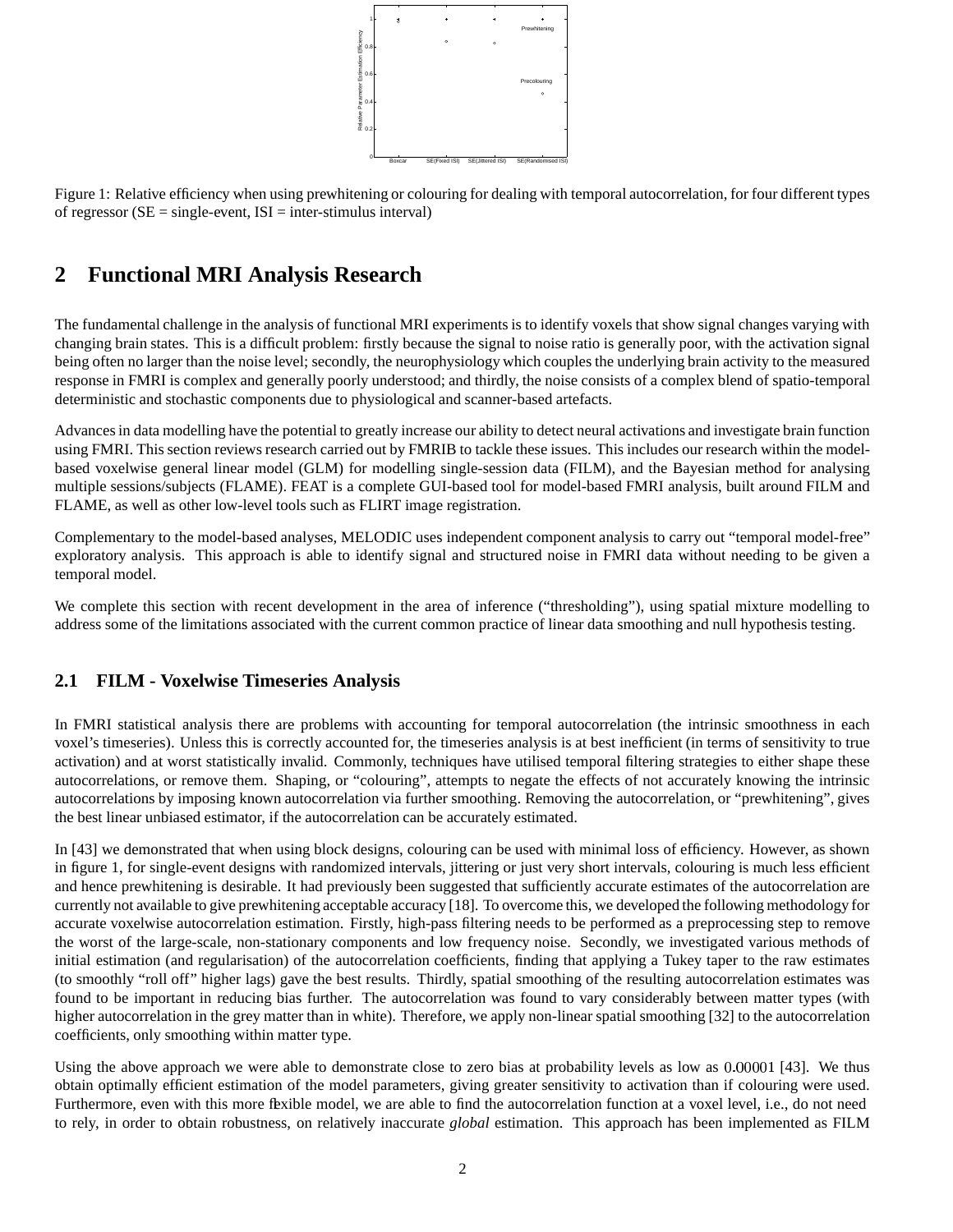

Figure 1: Relative efficiency when using prewhitening or colouring for dealing with temporal autocorrelation, for four different types of regressor  $(SE = single-event, ISI = inter-stimulus interval)$ 

### **2 Functional MRI Analysis Research**

The fundamental challenge in the analysis of functional MRI experiments is to identify voxels that show signal changes varying with changing brain states. This is a difficult problem: firstly because the signal to noise ratio is generally poor, with the activation signal being often no larger than the noise level; secondly, the neurophysiology which couples the underlying brain activity to the measured response in FMRI is complex and generally poorly understood; and thirdly, the noise consists of a complex blend of spatio-temporal deterministic and stochastic components due to physiological and scanner-based artefacts.

Advancesin data modelling have the potential to greatly increase our ability to detect neural activations and investigate brain function using FMRI. This section reviews research carried out by FMRIB to tackle these issues. This includes our research within the modelbased voxelwise general linear model (GLM) for modelling single-session data (FILM), and the Bayesian method for analysing multiple sessions/subjects (FLAME). FEAT is a complete GUI-based tool for model-based FMRI analysis, built around FILM and FLAME, as well as other low-level tools such as FLIRT image registration.

Complementary to the model-based analyses, MELODIC uses independent component analysis to carry out "temporal model-free" exploratory analysis. This approach is able to identify signal and structured noise in FMRI data without needing to be given a temporal model.

We complete this section with recent development in the area of inference ("thresholding"), using spatial mixture modelling to address some of the limitations associated with the current common practice of linear data smoothing and null hypothesis testing.

#### **2.1 FILM - Voxelwise Timeseries Analysis**

In FMRI statistical analysis there are problems with accounting for temporal autocorrelation (the intrinsic smoothness in each voxel's timeseries). Unless this is correctly accounted for, the timeseries analysis is at best inefficient (in terms of sensitivity to true activation) and at worst statistically invalid. Commonly, techniques have utilised temporal filtering strategies to either shape these autocorrelations, or remove them. Shaping, or "colouring", attempts to negate the effects of not accurately knowing the intrinsic autocorrelations by imposing known autocorrelation via further smoothing. Removing the autocorrelation, or "prewhitening", gives the best linear unbiased estimator, if the autocorrelation can be accurately estimated.

In [43] we demonstrated that when using block designs, colouring can be used with minimal loss of efficiency. However, as shown in figure 1, for single-event designs with randomized intervals, jittering or just very short intervals, colouring is much less efficient and hence prewhitening is desirable. It had previously been suggested that sufficiently accurate estimates of the autocorrelation are currently not available to give prewhitening acceptable accuracy [18]. To overcome this, we developed the following methodology for accurate voxelwise autocorrelation estimation. Firstly, high-pass filtering needs to be performed as a preprocessing step to remove the worst of the large-scale, non-stationary components and low frequency noise. Secondly, we investigated various methods of initial estimation (and regularisation) of the autocorrelation coefficients, finding that applying a Tukey taper to the raw estimates (to smoothly "roll off" higher lags) gave the best results. Thirdly, spatial smoothing of the resulting autocorrelation estimates was found to be important in reducing bias further. The autocorrelation was found to vary considerably between matter types (with higher autocorrelation in the grey matter than in white). Therefore, we apply non-linear spatial smoothing [32] to the autocorrelation coefficients, only smoothing within matter type.

Using the above approach we were able to demonstrate close to zero bias at probability levels as low as  $0.00001$  [43]. We thus obtain optimally efficient estimation of the model parameters, giving greater sensitivity to activation than if colouring were used. Furthermore, even with this more flexible model, we are able to find the autocorrelation function at a voxel level, i.e., do not need to rely, in order to obtain robustness, on relatively inaccurate *global* estimation. This approach has been implemented as FILM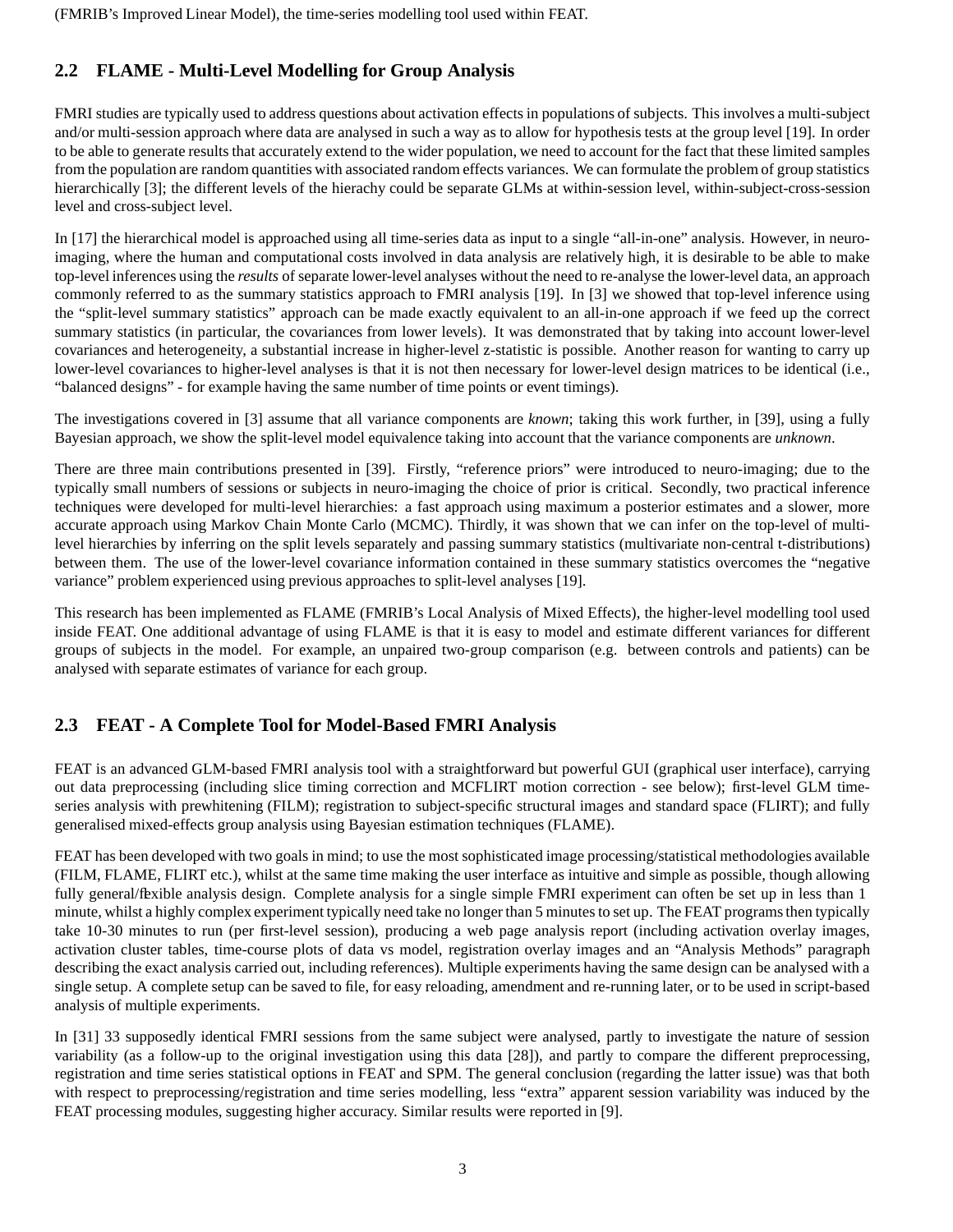### **2.2 FLAME - Multi-Level Modelling for Group Analysis**

FMRI studies are typically used to address questions about activation effects in populations of subjects. This involves a multi-subject and/or multi-session approach where data are analysed in such a way as to allow for hypothesis tests at the group level [19]. In order to be able to generate results that accurately extend to the wider population, we need to account for the fact that these limited samples from the population are random quantities with associated random effects variances. We can formulate the problem of group statistics hierarchically [3]; the different levels of the hierachy could be separate GLMs at within-session level, within-subject-cross-session level and cross-subject level.

In [17] the hierarchical model is approached using all time-series data as input to a single "all-in-one" analysis. However, in neuroimaging, where the human and computational costs involved in data analysis are relatively high, it is desirable to be able to make top-level inferences using the *results* of separate lower-level analyses without the need to re-analyse the lower-level data, an approach commonly referred to as the summary statistics approach to FMRI analysis [19]. In [3] we showed that top-level inference using the "split-level summary statistics" approach can be made exactly equivalent to an all-in-one approach if we feed up the correct summary statistics (in particular, the covariances from lower levels). It was demonstrated that by taking into account lower-level covariances and heterogeneity, a substantial increase in higher-level z-statistic is possible. Another reason for wanting to carry up lower-level covariances to higher-level analyses is that it is not then necessary for lower-level design matrices to be identical (i.e., "balanced designs" - for example having the same number of time points or event timings).

The investigations covered in [3] assume that all variance components are *known*; taking this work further, in [39], using a fully Bayesian approach, we show the split-level model equivalence taking into account that the variance components are *unknown*.

There are three main contributions presented in [39]. Firstly, "reference priors" were introduced to neuro-imaging; due to the typically small numbers of sessions or subjects in neuro-imaging the choice of prior is critical. Secondly, two practical inference techniques were developed for multi-level hierarchies: a fast approach using maximum a posterior estimates and a slower, more accurate approach using Markov Chain Monte Carlo (MCMC). Thirdly, it was shown that we can infer on the top-level of multilevel hierarchies by inferring on the split levels separately and passing summary statistics (multivariate non-central t-distributions) between them. The use of the lower-level covariance information contained in these summary statistics overcomes the "negative variance" problem experienced using previous approaches to split-level analyses [19].

This research has been implemented as FLAME (FMRIB's Local Analysis of Mixed Effects), the higher-level modelling tool used inside FEAT. One additional advantage of using FLAME is that it is easy to model and estimate different variances for different groups of subjects in the model. For example, an unpaired two-group comparison (e.g. between controls and patients) can be analysed with separate estimates of variance for each group.

### **2.3 FEAT - A Complete Tool for Model-Based FMRI Analysis**

FEAT is an advanced GLM-based FMRI analysis tool with a straightforward but powerful GUI (graphical user interface), carrying out data preprocessing (including slice timing correction and MCFLIRT motion correction - see below); first-level GLM timeseries analysis with prewhitening (FILM); registration to subject-specific structural images and standard space (FLIRT); and fully generalised mixed-effects group analysis using Bayesian estimation techniques (FLAME).

FEAT has been developed with two goals in mind; to use the most sophisticated image processing/statistical methodologies available (FILM, FLAME, FLIRT etc.), whilst at the same time making the user interface as intuitive and simple as possible, though allowing fully general/flexible analysis design. Complete analysis for a single simple FMRI experiment can often be set up in less than 1 minute, whilst a highly complex experiment typically need take no longer than 5 minutes to set up. The FEAT programs then typically take 10-30 minutes to run (per first-level session), producing a web page analysis report (including activation overlay images, activation cluster tables, time-course plots of data vs model, registration overlay images and an "Analysis Methods" paragraph describing the exact analysis carried out, including references). Multiple experiments having the same design can be analysed with a single setup. A complete setup can be saved to file, for easy reloading, amendment and re-running later, or to be used in script-based analysis of multiple experiments.

In [31] 33 supposedly identical FMRI sessions from the same subject were analysed, partly to investigate the nature of session variability (as a follow-up to the original investigation using this data [28]), and partly to compare the different preprocessing, registration and time series statistical options in FEAT and SPM. The general conclusion (regarding the latter issue) was that both with respect to preprocessing/registration and time series modelling, less "extra" apparent session variability was induced by the FEAT processing modules, suggesting higher accuracy. Similar results were reported in [9].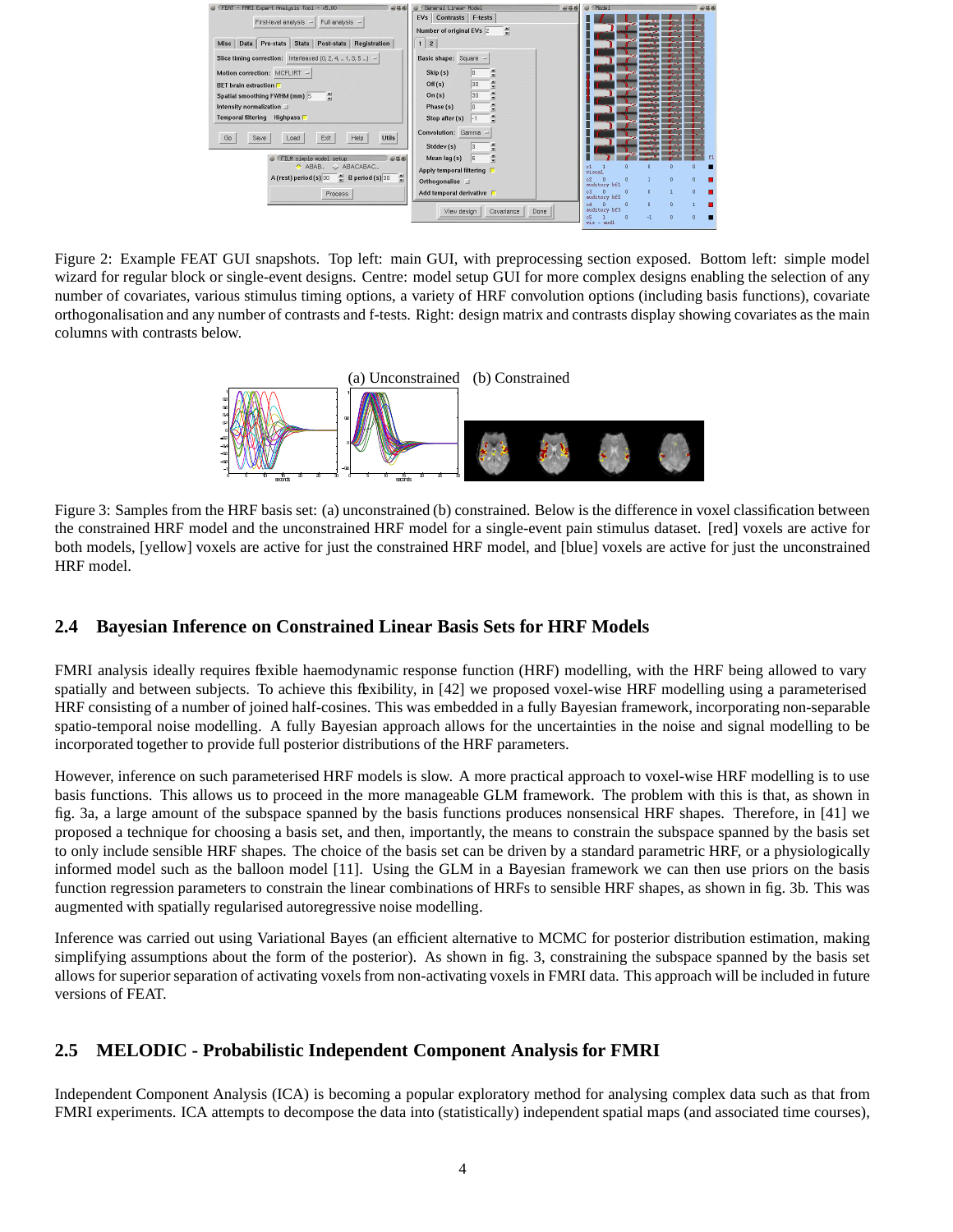| FEAT - FMRI Expert Analysis Tool - v5.00<br>4048              | General Linear Model<br>$-0.58$<br>EVs Contrasts F-tests | C Model                        |                         | 4048          |
|---------------------------------------------------------------|----------------------------------------------------------|--------------------------------|-------------------------|---------------|
| First-level analysis -<br>Full analysis -                     | 릨<br>Number of original EVs 2                            |                                |                         |               |
| Data Pre-stats Stats Post-stats Registration<br><b>Misc</b>   | $1 \mid 2$                                               |                                |                         |               |
| Slice timing correction: Interleaved (0, 2, 4,  1, 3, 5 ) $-$ | Basic shape: Square -                                    |                                |                         |               |
| Motion correction: MCFLIRT -                                  | Skip(s)<br>Ξ                                             |                                |                         |               |
| <b>BET</b> brain extraction                                   | 릨<br>30<br>Off(s)                                        |                                |                         |               |
| $\Rightarrow$<br>Spatial smoothing FWHM (mm) 5                | 国<br>30<br>On(s)<br><b>V</b>                             |                                |                         |               |
| Intensity normalization                                       | 씌<br>Phase (s)<br>ln<br>w                                |                                |                         |               |
| Temporal filtering Highpass                                   | 츾<br>Stop after (s)<br>$-1$                              |                                |                         |               |
| <b>Utils</b><br>Go<br>Exit<br>Help<br>Save<br>Load            | Convolution: Gamma -                                     |                                |                         |               |
|                                                               | Stddev(s)                                                |                                |                         |               |
| FILM simple model setup<br>958                                | 츾<br>Mean lag (s)<br>5 <sup>5</sup>                      |                                |                         | f1            |
| ABAB & ABACABAC                                               | Apply temporal filtering $\Box$                          | $\overline{a}$<br>c1<br>visual |                         |               |
| F<br>A (rest) period (s) $30 \div B$ period (s) 30            | Orthogonalise II                                         | n<br>auditory bf1              |                         | ō<br>$\theta$ |
| Process                                                       | Add temporal derivative                                  | $\Omega$<br>auditory bf2       | $\overline{\mathbf{n}}$ | $\alpha$      |
|                                                               | Done<br>View design<br>Covariance                        | $\Omega$<br>auditory bf3       | $\mathbf{n}$            | $\theta$      |
|                                                               |                                                          | c5<br>n<br>$right = mid1$      | $-1$                    |               |

Figure 2: Example FEAT GUI snapshots. Top left: main GUI, with preprocessing section exposed. Bottom left: simple model wizard for regular block or single-event designs. Centre: model setup GUI for more complex designs enabling the selection of any number of covariates, various stimulus timing options, a variety of HRF convolution options (including basis functions), covariate orthogonalisation and any number of contrasts and f-tests. Right: design matrix and contrasts display showing covariates as the main columns with contrasts below.



Figure 3: Samples from the HRF basis set: (a) unconstrained (b) constrained. Below is the difference in voxel classification between the constrained HRF model and the unconstrained HRF model for a single-event pain stimulus dataset. [red] voxels are active for both models, [yellow] voxels are active for just the constrained HRF model, and [blue] voxels are active for just the unconstrained HRF model.

#### **2.4 Bayesian Inference on Constrained Linear Basis Sets for HRF Models**

FMRI analysis ideally requires flexible haemodynamic response function (HRF) modelling, with the HRF being allowed to vary spatially and between subjects. To achieve this flexibility, in [42] we proposed voxel-wise HRF modelling using a parameterised HRF consisting of a number of joined half-cosines. This was embedded in a fully Bayesian framework, incorporating non-separable spatio-temporal noise modelling. A fully Bayesian approach allows for the uncertainties in the noise and signal modelling to be incorporated together to provide full posterior distributions of the HRF parameters.

However, inference on such parameterised HRF models is slow. A more practical approach to voxel-wise HRF modelling is to use basis functions. This allows us to proceed in the more manageable GLM framework. The problem with this is that, as shown in fig. 3a, a large amount of the subspace spanned by the basis functions produces nonsensical HRF shapes. Therefore, in [41] we proposed a technique for choosing a basis set, and then, importantly, the means to constrain the subspace spanned by the basis set to only include sensible HRF shapes. The choice of the basis set can be driven by a standard parametric HRF, or a physiologically informed model such as the balloon model [11]. Using the GLM in a Bayesian framework we can then use priors on the basis function regression parameters to constrain the linear combinations of HRFs to sensible HRF shapes, as shown in fig. 3b. This was augmented with spatially regularised autoregressive noise modelling.

Inference was carried out using Variational Bayes (an efficient alternative to MCMC for posterior distribution estimation, making simplifying assumptions about the form of the posterior). As shown in fig. 3, constraining the subspace spanned by the basis set allows for superior separation of activating voxels from non-activating voxels in FMRI data. This approach will be included in future versions of FEAT.

#### **2.5 MELODIC - Probabilistic Independent Component Analysis for FMRI**

Independent Component Analysis (ICA) is becoming a popular exploratory method for analysing complex data such as that from FMRI experiments. ICA attempts to decompose the data into (statistically) independent spatial maps (and associated time courses),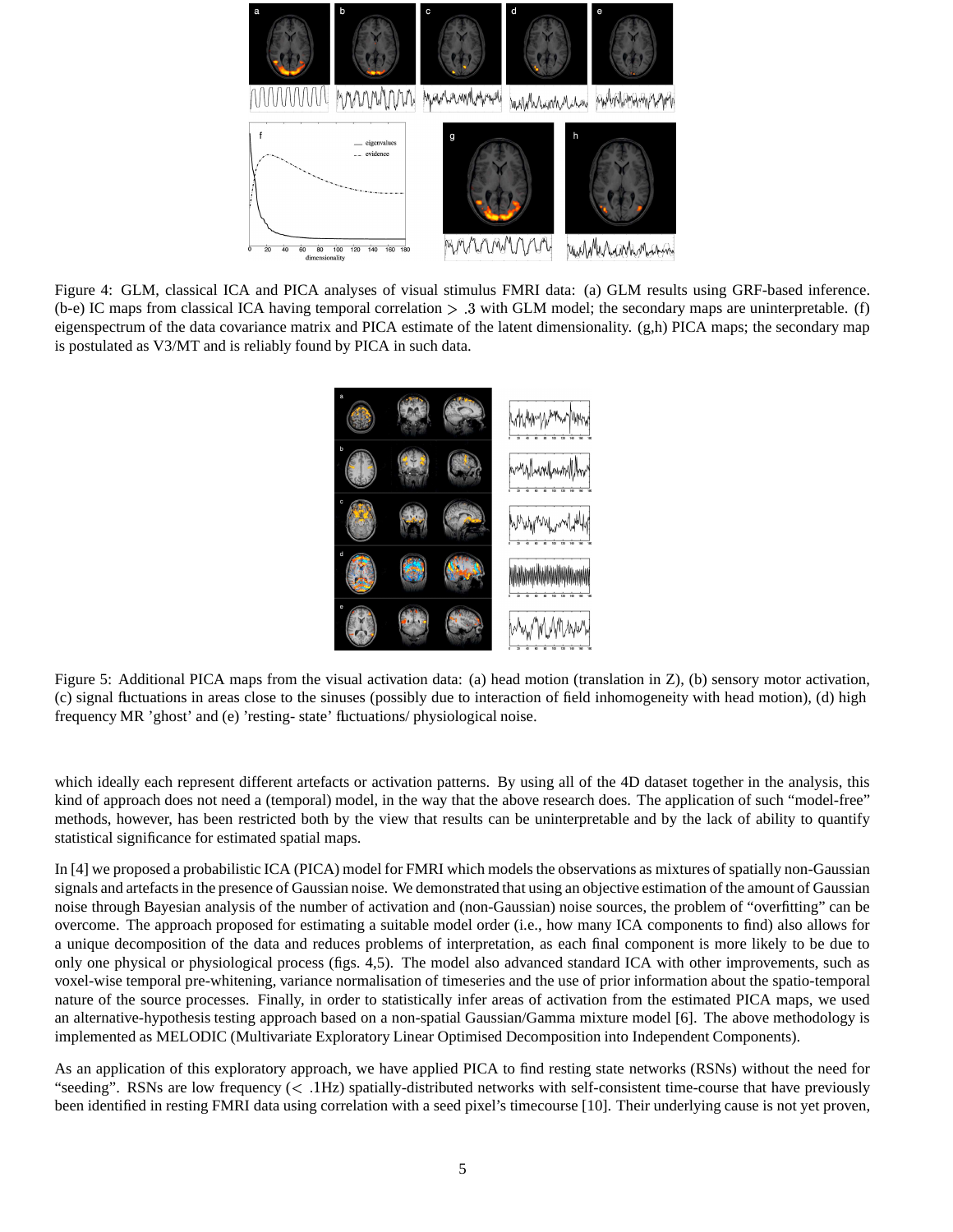

Figure 4: GLM, classical ICA and PICA analyses of visual stimulus FMRI data: (a) GLM results using GRF-based inference. (b-e) IC maps from classical ICA having temporal correlation  $> 0.3$  with GLM model; the secondary maps are uninterpretable. (f) eigenspectrum of the data covariance matrix and PICA estimate of the latent dimensionality. (g,h) PICA maps; the secondary map is postulated as V3/MT and is reliably found by PICA in such data.



Figure 5: Additional PICA maps from the visual activation data: (a) head motion (translation in Z), (b) sensory motor activation, (c) signal fluctuations in areas close to the sinuses (possibly due to interaction of field inhomogeneity with head motion), (d) high frequency MR 'ghost' and (e) 'resting- state' fluctuations/ physiological noise.

which ideally each represent different artefacts or activation patterns. By using all of the 4D dataset together in the analysis, this kind of approach does not need a (temporal) model, in the way that the above research does. The application of such "model-free" methods, however, has been restricted both by the view that results can be uninterpretable and by the lack of ability to quantify statistical significance for estimated spatial maps.

In [4] we proposed a probabilistic ICA (PICA) model for FMRI which models the observations as mixtures of spatially non-Gaussian signals and artefacts in the presence of Gaussian noise. We demonstrated that using an objective estimation of the amount of Gaussian noise through Bayesian analysis of the number of activation and (non-Gaussian) noise sources, the problem of "overfitting" can be overcome. The approach proposed for estimating a suitable model order (i.e., how many ICA components to find) also allows for a unique decomposition of the data and reduces problems of interpretation, as each final component is more likely to be due to only one physical or physiological process (figs. 4,5). The model also advanced standard ICA with other improvements, such as voxel-wise temporal pre-whitening, variance normalisation of timeseries and the use of prior information about the spatio-temporal nature of the source processes. Finally, in order to statistically infer areas of activation from the estimated PICA maps, we used an alternative-hypothesis testing approach based on a non-spatial Gaussian/Gamma mixture model [6]. The above methodology is implemented as MELODIC (Multivariate Exploratory Linear Optimised Decomposition into Independent Components).

As an application of this exploratory approach, we have applied PICA to find resting state networks (RSNs) without the need for "seeding". RSNs are low frequency (< .1Hz) spatially-distributed networks with self-consistent time-course that have previously been identified in resting FMRI data using correlation with a seed pixel's timecourse [10]. Their underlying cause is not yet proven,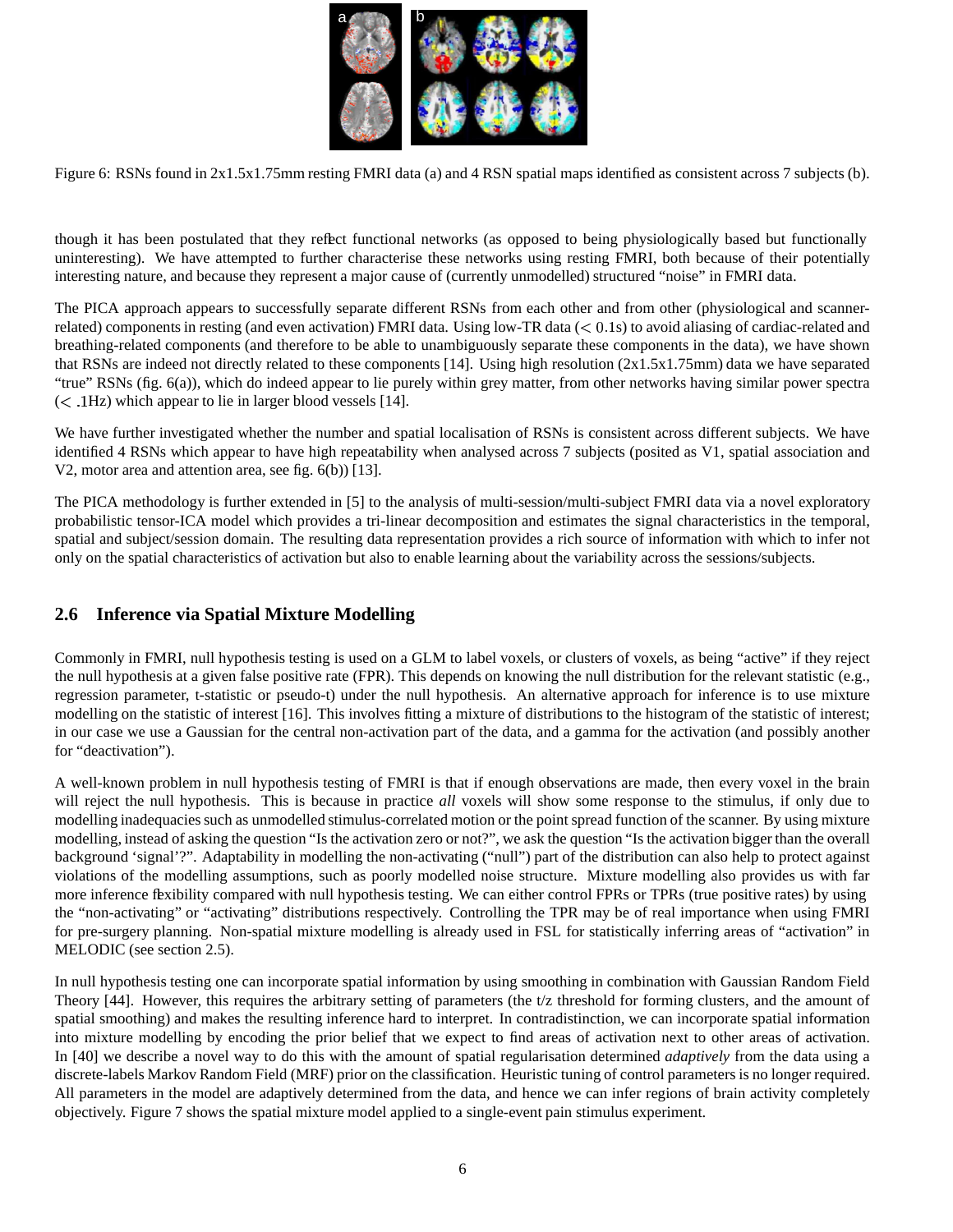

Figure 6: RSNs found in 2x1.5x1.75mm resting FMRI data (a) and 4 RSN spatial maps identified as consistent across 7 subjects (b).

though it has been postulated that they reflect functional networks (as opposed to being physiologically based but functionally uninteresting). We have attempted to further characterise these networks using resting FMRI, both because of their potentially interesting nature, and because they represent a major cause of (currently unmodelled) structured "noise" in FMRI data.

The PICA approach appears to successfully separate different RSNs from each other and from other (physiological and scannerrelated) components in resting (and even activation) FMRI data. Using low-TR data (< 0.1s) to avoid aliasing of cardiac-related and breathing-related components (and therefore to be able to unambiguously separate these components in the data), we have shown that RSNs are indeed not directly related to these components [14]. Using high resolution (2x1.5x1.75mm) data we have separated "true" RSNs (fig. 6(a)), which do indeed appear to lie purely within grey matter, from other networks having similar power spectra  $(<$  .1Hz) which appear to lie in larger blood vessels [14].

We have further investigated whether the number and spatial localisation of RSNs is consistent across different subjects. We have identified 4 RSNs which appear to have high repeatability when analysed across 7 subjects (posited as V1, spatial association and V2, motor area and attention area, see fig. 6(b)) [13].

The PICA methodology is further extended in [5] to the analysis of multi-session/multi-subject FMRI data via a novel exploratory probabilistic tensor-ICA model which provides a tri-linear decomposition and estimates the signal characteristics in the temporal, spatial and subject/session domain. The resulting data representation provides a rich source of information with which to infer not only on the spatial characteristics of activation but also to enable learning about the variability across the sessions/subjects.

#### **2.6 Inference via Spatial Mixture Modelling**

Commonly in FMRI, null hypothesis testing is used on a GLM to label voxels, or clusters of voxels, as being "active" if they reject the null hypothesis at a given false positive rate (FPR). This depends on knowing the null distribution for the relevant statistic (e.g., regression parameter, t-statistic or pseudo-t) under the null hypothesis. An alternative approach for inference is to use mixture modelling on the statistic of interest [16]. This involves fitting a mixture of distributions to the histogram of the statistic of interest; in our case we use a Gaussian for the central non-activation part of the data, and a gamma for the activation (and possibly another for "deactivation").

A well-known problem in null hypothesis testing of FMRI is that if enough observations are made, then every voxel in the brain will reject the null hypothesis. This is because in practice *all* voxels will show some response to the stimulus, if only due to modelling inadequacies such as unmodelled stimulus-correlated motion or the point spread function of the scanner. By using mixture modelling, instead of asking the question "Is the activation zero or not?", we ask the question "Is the activation bigger than the overall background 'signal'?". Adaptability in modelling the non-activating ("null") part of the distribution can also help to protect against violations of the modelling assumptions, such as poorly modelled noise structure. Mixture modelling also provides us with far more inference flexibility compared with null hypothesis testing. We can either control FPRs or TPRs (true positive rates) by using the "non-activating" or "activating" distributions respectively. Controlling the TPR may be of real importance when using FMRI for pre-surgery planning. Non-spatial mixture modelling is already used in FSL for statistically inferring areas of "activation" in MELODIC (see section 2.5).

In null hypothesis testing one can incorporate spatial information by using smoothing in combination with Gaussian Random Field Theory [44]. However, this requires the arbitrary setting of parameters (the t/z threshold for forming clusters, and the amount of spatial smoothing) and makes the resulting inference hard to interpret. In contradistinction, we can incorporate spatial information into mixture modelling by encoding the prior belief that we expect to find areas of activation next to other areas of activation. In [40] we describe a novel way to do this with the amount of spatial regularisation determined *adaptively* from the data using a discrete-labels Markov Random Field (MRF) prior on the classification. Heuristic tuning of control parameters is no longer required. All parameters in the model are adaptively determined from the data, and hence we can infer regions of brain activity completely objectively. Figure 7 shows the spatial mixture model applied to a single-event pain stimulus experiment.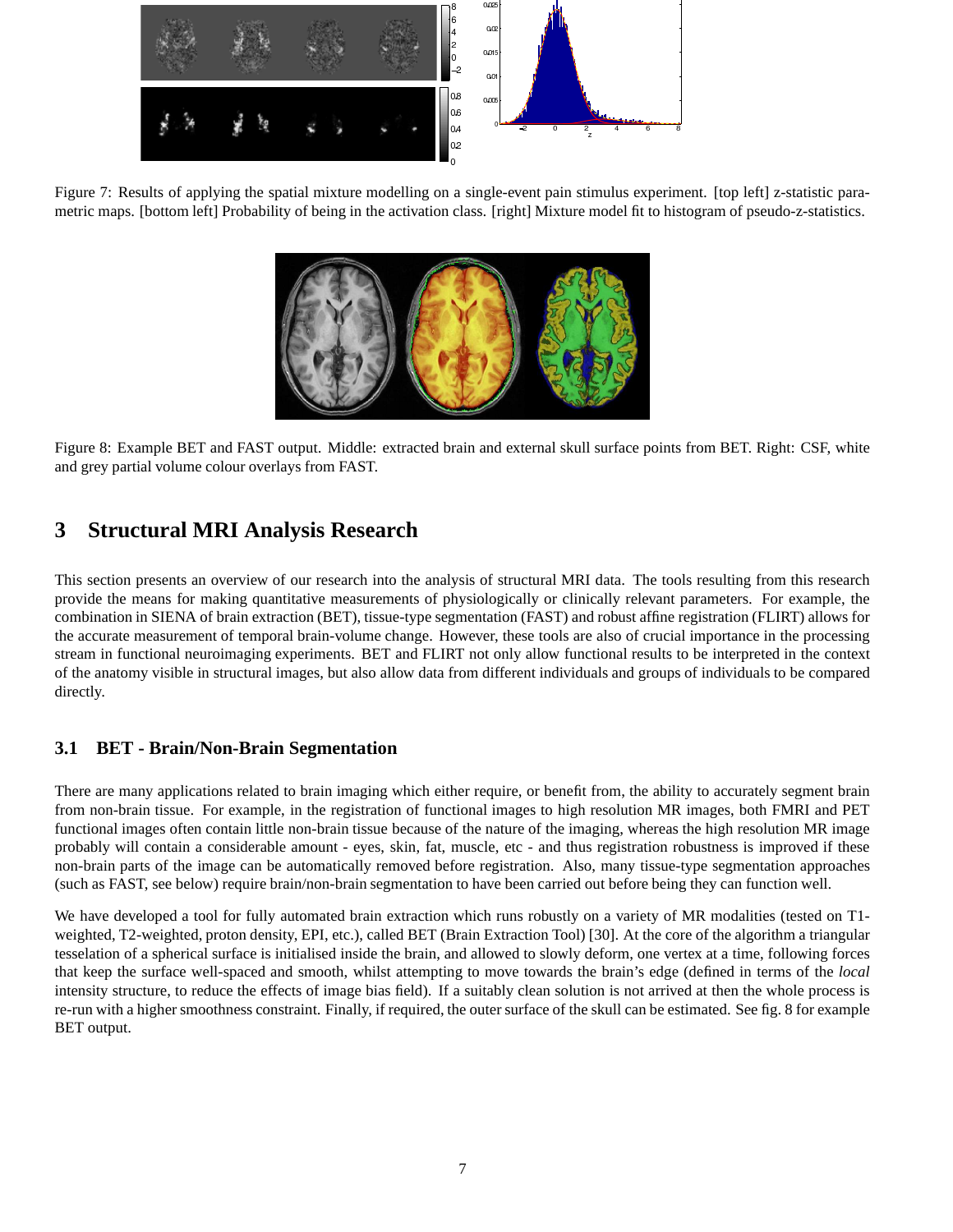

Figure 7: Results of applying the spatial mixture modelling on a single-event pain stimulus experiment. [top left] z-statistic parametric maps. [bottom left] Probability of being in the activation class. [right] Mixture model fit to histogram of pseudo-z-statistics.



Figure 8: Example BET and FAST output. Middle: extracted brain and external skull surface points from BET. Right: CSF, white and grey partial volume colour overlays from FAST.

### **3 Structural MRI Analysis Research**

This section presents an overview of our research into the analysis of structural MRI data. The tools resulting from this research provide the means for making quantitative measurements of physiologically or clinically relevant parameters. For example, the combination in SIENA of brain extraction (BET), tissue-type segmentation (FAST) and robust affine registration (FLIRT) allows for the accurate measurement of temporal brain-volume change. However, these tools are also of crucial importance in the processing stream in functional neuroimaging experiments. BET and FLIRT not only allow functional results to be interpreted in the context of the anatomy visible in structural images, but also allow data from different individuals and groups of individuals to be compared directly.

### **3.1 BET - Brain/Non-Brain Segmentation**

There are many applications related to brain imaging which either require, or benefit from, the ability to accurately segment brain from non-brain tissue. For example, in the registration of functional images to high resolution MR images, both FMRI and PET functional images often contain little non-brain tissue because of the nature of the imaging, whereas the high resolution MR image probably will contain a considerable amount - eyes, skin, fat, muscle, etc - and thus registration robustness is improved if these non-brain parts of the image can be automatically removed before registration. Also, many tissue-type segmentation approaches (such as FAST, see below) require brain/non-brain segmentation to have been carried out before being they can function well.

We have developed a tool for fully automated brain extraction which runs robustly on a variety of MR modalities (tested on T1 weighted, T2-weighted, proton density, EPI, etc.), called BET (Brain Extraction Tool) [30]. At the core of the algorithm a triangular tesselation of a spherical surface is initialised inside the brain, and allowed to slowly deform, one vertex at a time, following forces that keep the surface well-spaced and smooth, whilst attempting to move towards the brain's edge (defined in terms of the *local* intensity structure, to reduce the effects of image bias field). If a suitably clean solution is not arrived at then the whole process is re-run with a higher smoothness constraint. Finally, if required, the outer surface of the skull can be estimated. See fig. 8 for example BET output.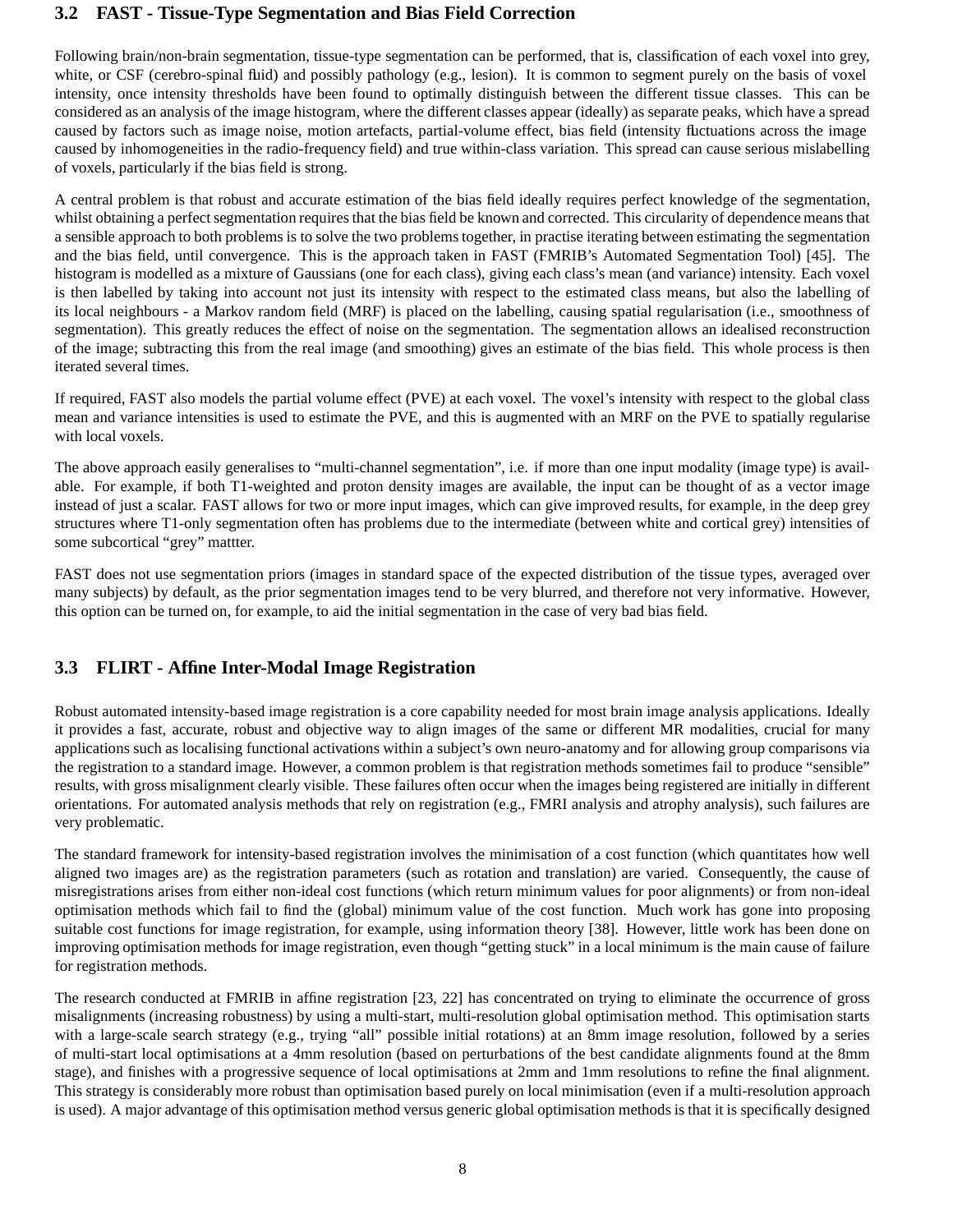#### **3.2 FAST - Tissue-Type Segmentation and Bias Field Correction**

Following brain/non-brain segmentation, tissue-type segmentation can be performed, that is, classification of each voxel into grey, white, or CSF (cerebro-spinal fluid) and possibly pathology (e.g., lesion). It is common to segment purely on the basis of voxel intensity, once intensity thresholds have been found to optimally distinguish between the different tissue classes. This can be considered as an analysis of the image histogram, where the different classes appear (ideally) as separate peaks, which have a spread caused by factors such as image noise, motion artefacts, partial-volume effect, bias field (intensity fluctuations across the image caused by inhomogeneities in the radio-frequency field) and true within-class variation. This spread can cause serious mislabelling of voxels, particularly if the bias field is strong.

A central problem is that robust and accurate estimation of the bias field ideally requires perfect knowledge of the segmentation, whilst obtaining a perfect segmentation requires that the bias field be known and corrected. This circularity of dependence means that a sensible approach to both problems is to solve the two problems together, in practise iterating between estimating the segmentation and the bias field, until convergence. This is the approach taken in FAST (FMRIB's Automated Segmentation Tool) [45]. The histogram is modelled as a mixture of Gaussians (one for each class), giving each class's mean (and variance) intensity. Each voxel is then labelled by taking into account not just its intensity with respect to the estimated class means, but also the labelling of its local neighbours - a Markov random field (MRF) is placed on the labelling, causing spatial regularisation (i.e., smoothness of segmentation). This greatly reduces the effect of noise on the segmentation. The segmentation allows an idealised reconstruction of the image; subtracting this from the real image (and smoothing) gives an estimate of the bias field. This whole process is then iterated several times.

If required, FAST also models the partial volume effect (PVE) at each voxel. The voxel's intensity with respect to the global class mean and variance intensities is used to estimate the PVE, and this is augmented with an MRF on the PVE to spatially regularise with local voxels.

The above approach easily generalises to "multi-channel segmentation", i.e. if more than one input modality (image type) is available. For example, if both T1-weighted and proton density images are available, the input can be thought of as a vector image instead of just a scalar. FAST allows for two or more input images, which can give improved results, for example, in the deep grey structures where T1-only segmentation often has problems due to the intermediate (between white and cortical grey) intensities of some subcortical "grey" mattter.

FAST does not use segmentation priors (images in standard space of the expected distribution of the tissue types, averaged over many subjects) by default, as the prior segmentation images tend to be very blurred, and therefore not very informative. However, this option can be turned on, for example, to aid the initial segmentation in the case of very bad bias field.

### **3.3 FLIRT - Affine Inter-Modal Image Registration**

Robust automated intensity-based image registration is a core capability needed for most brain image analysis applications. Ideally it provides a fast, accurate, robust and objective way to align images of the same or different MR modalities, crucial for many applications such as localising functional activations within a subject's own neuro-anatomy and for allowing group comparisons via the registration to a standard image. However, a common problem is that registration methods sometimes fail to produce "sensible" results, with gross misalignment clearly visible. These failures often occur when the images being registered are initially in different orientations. For automated analysis methods that rely on registration (e.g., FMRI analysis and atrophy analysis), such failures are very problematic.

The standard framework for intensity-based registration involves the minimisation of a cost function (which quantitates how well aligned two images are) as the registration parameters (such as rotation and translation) are varied. Consequently, the cause of misregistrations arises from either non-ideal cost functions (which return minimum values for poor alignments) or from non-ideal optimisation methods which fail to find the (global) minimum value of the cost function. Much work has gone into proposing suitable cost functions for image registration, for example, using information theory [38]. However, little work has been done on improving optimisation methods for image registration, even though "getting stuck" in a local minimum is the main cause of failure for registration methods.

The research conducted at FMRIB in affine registration [23, 22] has concentrated on trying to eliminate the occurrence of gross misalignments (increasing robustness) by using a multi-start, multi-resolution global optimisation method. This optimisation starts with a large-scale search strategy (e.g., trying "all" possible initial rotations) at an 8mm image resolution, followed by a series of multi-start local optimisations at a 4mm resolution (based on perturbations of the best candidate alignments found at the 8mm stage), and finishes with a progressive sequence of local optimisations at 2mm and 1mm resolutions to refine the final alignment. This strategy is considerably more robust than optimisation based purely on local minimisation (even if a multi-resolution approach is used). A major advantage of this optimisation method versus generic global optimisation methods is that it is specifically designed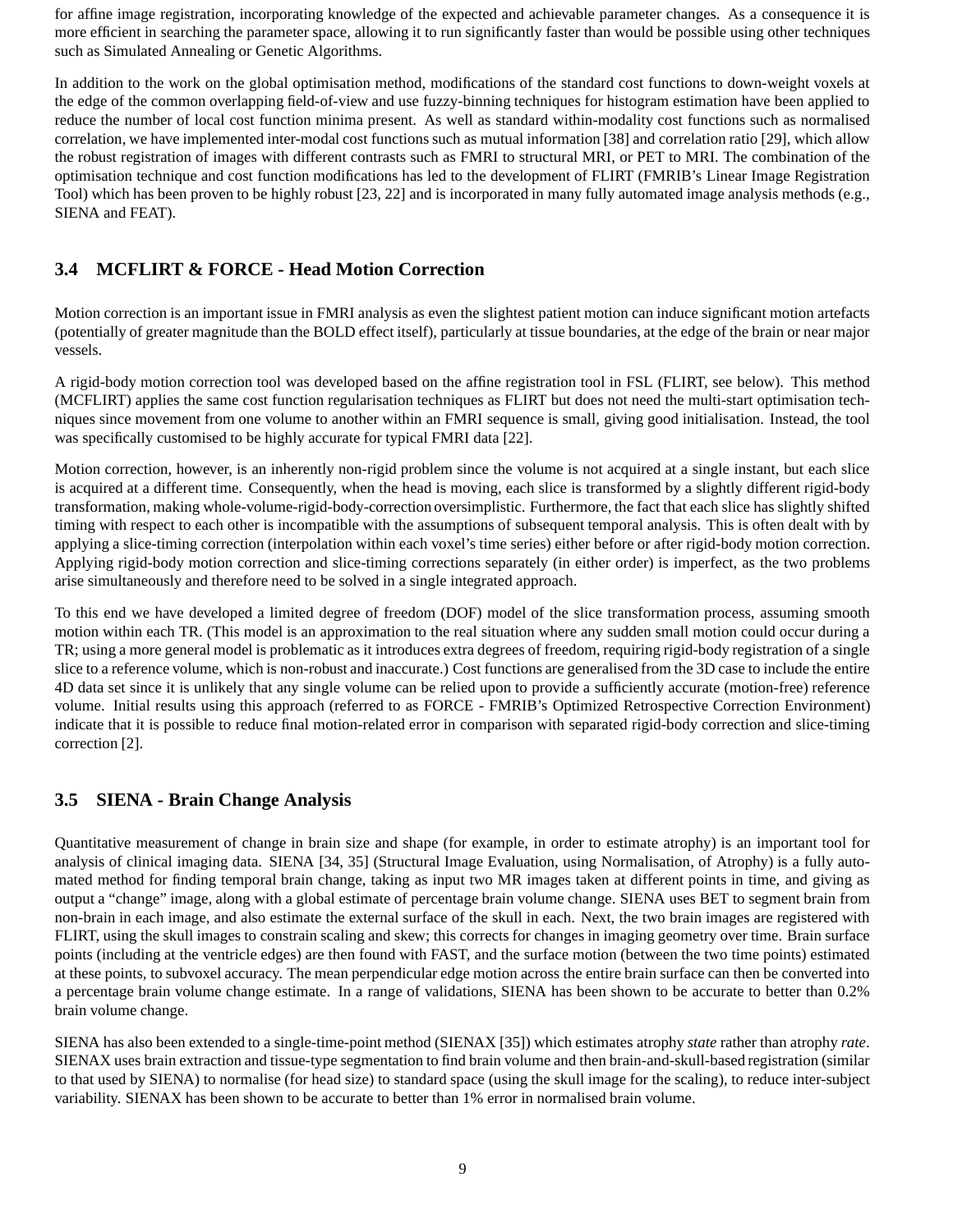for affine image registration, incorporating knowledge of the expected and achievable parameter changes. As a consequence it is more efficient in searching the parameter space, allowing it to run significantly faster than would be possible using other techniques such as Simulated Annealing or Genetic Algorithms.

In addition to the work on the global optimisation method, modifications of the standard cost functions to down-weight voxels at the edge of the common overlapping field-of-view and use fuzzy-binning techniques for histogram estimation have been applied to reduce the number of local cost function minima present. As well as standard within-modality cost functions such as normalised correlation, we have implemented inter-modal cost functions such as mutual information [38] and correlation ratio [29], which allow the robust registration of images with different contrasts such as FMRI to structural MRI, or PET to MRI. The combination of the optimisation technique and cost function modifications has led to the development of FLIRT (FMRIB's Linear Image Registration Tool) which has been proven to be highly robust [23, 22] and is incorporated in many fully automated image analysis methods (e.g., SIENA and FEAT).

#### **3.4 MCFLIRT & FORCE - Head Motion Correction**

Motion correction is an important issue in FMRI analysis as even the slightest patient motion can induce significant motion artefacts (potentially of greater magnitude than the BOLD effect itself), particularly at tissue boundaries, at the edge of the brain or near major vessels.

A rigid-body motion correction tool was developed based on the affine registration tool in FSL (FLIRT, see below). This method (MCFLIRT) applies the same cost function regularisation techniques as FLIRT but does not need the multi-start optimisation techniques since movement from one volume to another within an FMRI sequence is small, giving good initialisation. Instead, the tool was specifically customised to be highly accurate for typical FMRI data [22].

Motion correction, however, is an inherently non-rigid problem since the volume is not acquired at a single instant, but each slice is acquired at a different time. Consequently, when the head is moving, each slice is transformed by a slightly different rigid-body transformation, making whole-volume-rigid-body-correction oversimplistic. Furthermore, the fact that each slice has slightly shifted timing with respect to each other is incompatible with the assumptions of subsequent temporal analysis. This is often dealt with by applying a slice-timing correction (interpolation within each voxel's time series) either before or after rigid-body motion correction. Applying rigid-body motion correction and slice-timing corrections separately (in either order) is imperfect, as the two problems arise simultaneously and therefore need to be solved in a single integrated approach.

To this end we have developed a limited degree of freedom (DOF) model of the slice transformation process, assuming smooth motion within each TR. (This model is an approximation to the real situation where any sudden small motion could occur during a TR; using a more general model is problematic as it introduces extra degrees of freedom, requiring rigid-body registration of a single slice to a reference volume, which is non-robust and inaccurate.) Cost functions are generalised from the 3D case to include the entire 4D data set since it is unlikely that any single volume can be relied upon to provide a sufficiently accurate (motion-free) reference volume. Initial results using this approach (referred to as FORCE - FMRIB's Optimized Retrospective Correction Environment) indicate that it is possible to reduce final motion-related error in comparison with separated rigid-body correction and slice-timing correction [2].

#### **3.5 SIENA - Brain Change Analysis**

Quantitative measurement of change in brain size and shape (for example, in order to estimate atrophy) is an important tool for analysis of clinical imaging data. SIENA [34, 35] (Structural Image Evaluation, using Normalisation, of Atrophy) is a fully automated method for finding temporal brain change, taking as input two MR images taken at different points in time, and giving as output a "change" image, along with a global estimate of percentage brain volume change. SIENA uses BET to segment brain from non-brain in each image, and also estimate the external surface of the skull in each. Next, the two brain images are registered with FLIRT, using the skull images to constrain scaling and skew; this corrects for changes in imaging geometry over time. Brain surface points (including at the ventricle edges) are then found with FAST, and the surface motion (between the two time points) estimated at these points, to subvoxel accuracy. The mean perpendicular edge motion across the entire brain surface can then be converted into a percentage brain volume change estimate. In a range of validations, SIENA has been shown to be accurate to better than 0.2% brain volume change.

SIENA has also been extended to a single-time-point method (SIENAX [35]) which estimates atrophy *state* rather than atrophy *rate*. SIENAX uses brain extraction and tissue-type segmentation to find brain volume and then brain-and-skull-based registration (similar to that used by SIENA) to normalise (for head size) to standard space (using the skull image for the scaling), to reduce inter-subject variability. SIENAX has been shown to be accurate to better than 1% error in normalised brain volume.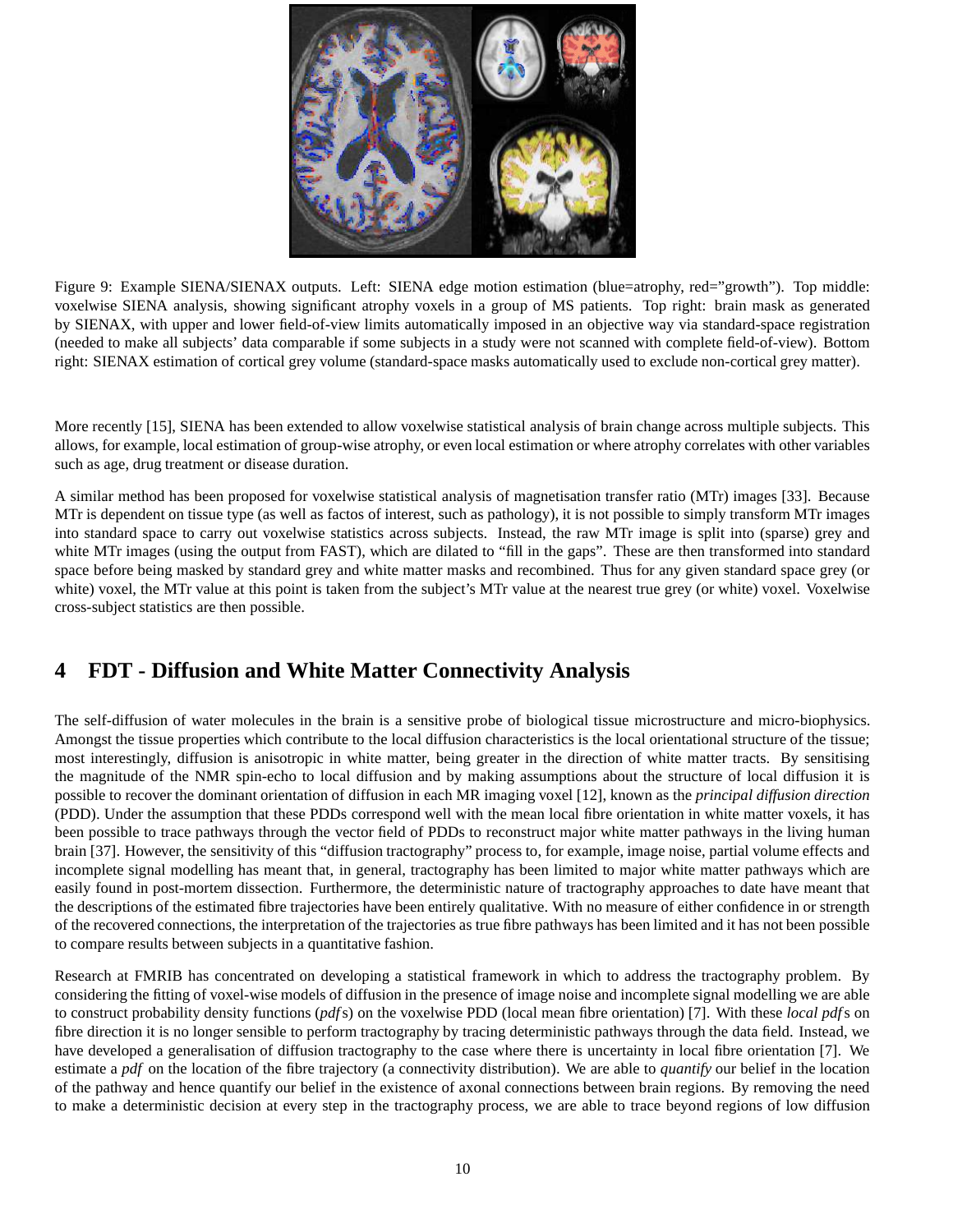

Figure 9: Example SIENA/SIENAX outputs. Left: SIENA edge motion estimation (blue=atrophy, red="growth"). Top middle: voxelwise SIENA analysis, showing significant atrophy voxels in a group of MS patients. Top right: brain mask as generated by SIENAX, with upper and lower field-of-view limits automatically imposed in an objective way via standard-space registration (needed to make all subjects' data comparable if some subjects in a study were not scanned with complete field-of-view). Bottom right: SIENAX estimation of cortical grey volume (standard-space masks automatically used to exclude non-cortical grey matter).

More recently [15], SIENA has been extended to allow voxelwise statistical analysis of brain change across multiple subjects. This allows, for example, local estimation of group-wise atrophy, or even local estimation or where atrophy correlates with other variables such as age, drug treatment or disease duration.

A similar method has been proposed for voxelwise statistical analysis of magnetisation transfer ratio (MTr) images [33]. Because MTr is dependent on tissue type (as well as factos of interest, such as pathology), it is not possible to simply transform MTr images into standard space to carry out voxelwise statistics across subjects. Instead, the raw MTr image is split into (sparse) grey and white MTr images (using the output from FAST), which are dilated to "fill in the gaps". These are then transformed into standard space before being masked by standard grey and white matter masks and recombined. Thus for any given standard space grey (or white) voxel, the MTr value at this point is taken from the subject's MTr value at the nearest true grey (or white) voxel. Voxelwise cross-subject statistics are then possible.

## **4 FDT - Diffusion and White Matter Connectivity Analysis**

The self-diffusion of water molecules in the brain is a sensitive probe of biological tissue microstructure and micro-biophysics. Amongst the tissue properties which contribute to the local diffusion characteristics is the local orientational structure of the tissue; most interestingly, diffusion is anisotropic in white matter, being greater in the direction of white matter tracts. By sensitising the magnitude of the NMR spin-echo to local diffusion and by making assumptions about the structure of local diffusion it is possible to recover the dominant orientation of diffusion in each MR imaging voxel [12], known as the *principal diffusion direction* (PDD). Under the assumption that these PDDs correspond well with the mean local fibre orientation in white matter voxels, it has been possible to trace pathways through the vector field of PDDs to reconstruct major white matter pathways in the living human brain [37]. However, the sensitivity of this "diffusion tractography" process to, for example, image noise, partial volume effects and incomplete signal modelling has meant that, in general, tractography has been limited to major white matter pathways which are easily found in post-mortem dissection. Furthermore, the deterministic nature of tractography approaches to date have meant that the descriptions of the estimated fibre trajectories have been entirely qualitative. With no measure of either confidence in or strength of the recovered connections, the interpretation of the trajectories as true fibre pathways has been limited and it has not been possible to compare results between subjects in a quantitative fashion.

Research at FMRIB has concentrated on developing a statistical framework in which to address the tractography problem. By considering the fitting of voxel-wise models of diffusion in the presence of image noise and incomplete signal modelling we are able to construct probability density functions (*pdf*s) on the voxelwise PDD (local mean fibre orientation) [7]. With these *local pdf*s on fibre direction it is no longer sensible to perform tractography by tracing deterministic pathways through the data field. Instead, we have developed a generalisation of diffusion tractography to the case where there is uncertainty in local fibre orientation [7]. We estimate a *pdf* on the location of the fibre trajectory (a connectivity distribution). We are able to *quantify* our belief in the location of the pathway and hence quantify our belief in the existence of axonal connections between brain regions. By removing the need to make a deterministic decision at every step in the tractography process, we are able to trace beyond regions of low diffusion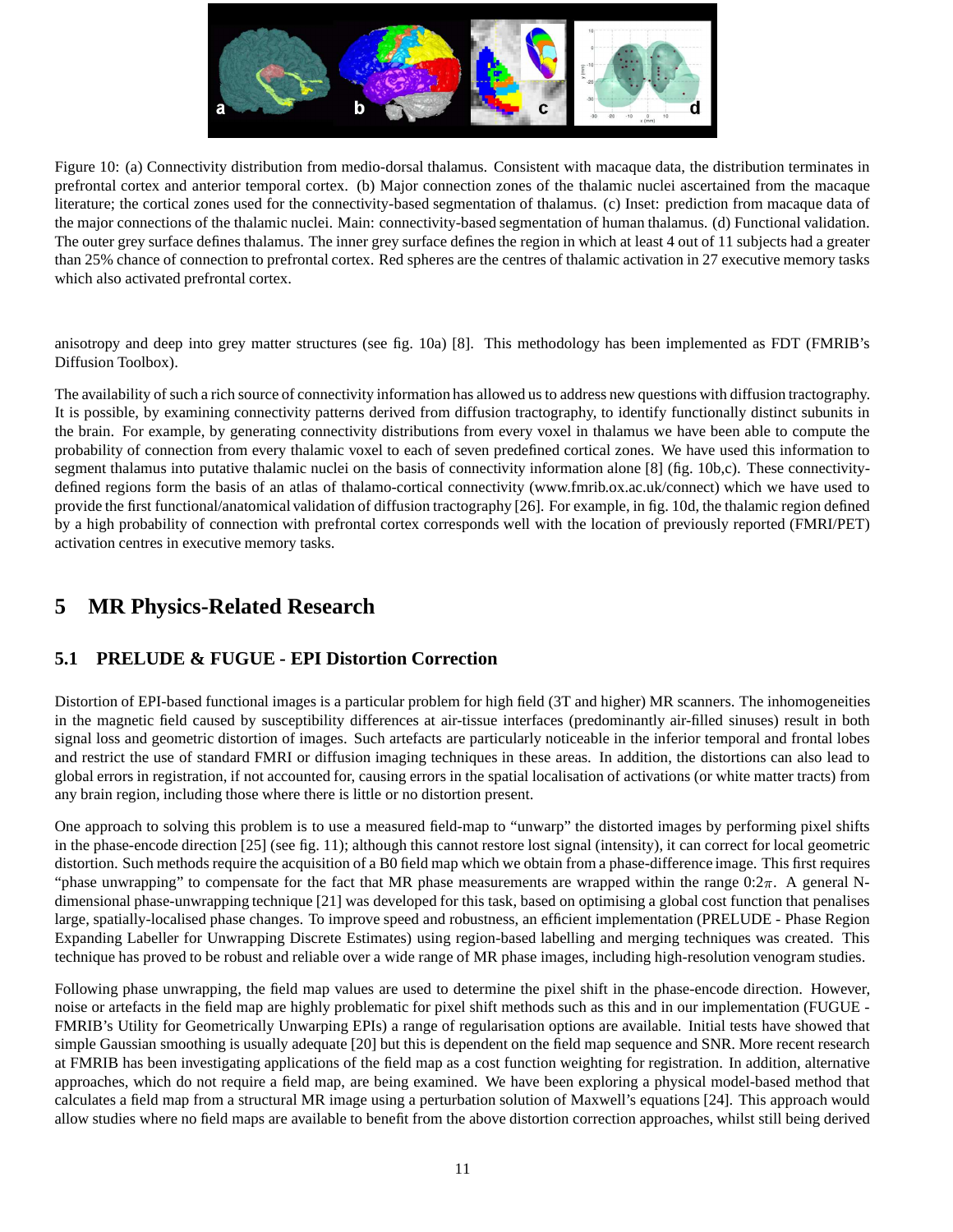

Figure 10: (a) Connectivity distribution from medio-dorsal thalamus. Consistent with macaque data, the distribution terminates in prefrontal cortex and anterior temporal cortex. (b) Major connection zones of the thalamic nuclei ascertained from the macaque literature; the cortical zones used for the connectivity-based segmentation of thalamus. (c) Inset: prediction from macaque data of the major connections of the thalamic nuclei. Main: connectivity-based segmentation of human thalamus. (d) Functional validation. The outer grey surface defines thalamus. The inner grey surface defines the region in which at least 4 out of 11 subjects had a greater than 25% chance of connection to prefrontal cortex. Red spheres are the centres of thalamic activation in 27 executive memory tasks which also activated prefrontal cortex.

anisotropy and deep into grey matter structures (see fig. 10a) [8]. This methodology has been implemented as FDT (FMRIB's Diffusion Toolbox).

The availability of such a rich source of connectivity information has allowed us to address new questions with diffusion tractography. It is possible, by examining connectivity patterns derived from diffusion tractography, to identify functionally distinct subunits in the brain. For example, by generating connectivity distributions from every voxel in thalamus we have been able to compute the probability of connection from every thalamic voxel to each of seven predefined cortical zones. We have used this information to segment thalamus into putative thalamic nuclei on the basis of connectivity information alone [8] (fig. 10b,c). These connectivitydefined regions form the basis of an atlas of thalamo-cortical connectivity (www.fmrib.ox.ac.uk/connect) which we have used to provide the first functional/anatomical validation of diffusion tractography [26]. For example, in fig. 10d, the thalamic region defined by a high probability of connection with prefrontal cortex corresponds well with the location of previously reported (FMRI/PET) activation centres in executive memory tasks.

### **5 MR Physics-Related Research**

### **5.1 PRELUDE & FUGUE - EPI Distortion Correction**

Distortion of EPI-based functional images is a particular problem for high field (3T and higher) MR scanners. The inhomogeneities in the magnetic field caused by susceptibility differences at air-tissue interfaces (predominantly air-filled sinuses) result in both signal loss and geometric distortion of images. Such artefacts are particularly noticeable in the inferior temporal and frontal lobes and restrict the use of standard FMRI or diffusion imaging techniques in these areas. In addition, the distortions can also lead to global errors in registration, if not accounted for, causing errors in the spatial localisation of activations (or white matter tracts) from any brain region, including those where there is little or no distortion present.

One approach to solving this problem is to use a measured field-map to "unwarp" the distorted images by performing pixel shifts in the phase-encode direction [25] (see fig. 11); although this cannot restore lost signal (intensity), it can correct for local geometric distortion. Such methods require the acquisition of a B0 field map which we obtain from a phase-difference image. This first requires "phase unwrapping" to compensate for the fact that MR phase measurements are wrapped within the range  $0:2\pi$ . A general Ndimensional phase-unwrapping technique [21] was developed for this task, based on optimising a global cost function that penalises large, spatially-localised phase changes. To improve speed and robustness, an efficient implementation (PRELUDE - Phase Region Expanding Labeller for Unwrapping Discrete Estimates) using region-based labelling and merging techniques was created. This technique has proved to be robust and reliable over a wide range of MR phase images, including high-resolution venogram studies.

Following phase unwrapping, the field map values are used to determine the pixel shift in the phase-encode direction. However, noise or artefacts in the field map are highly problematic for pixel shift methods such as this and in our implementation (FUGUE - FMRIB's Utility for Geometrically Unwarping EPIs) a range of regularisation options are available. Initial tests have showed that simple Gaussian smoothing is usually adequate [20] but this is dependent on the field map sequence and SNR. More recent research at FMRIB has been investigating applications of the field map as a cost function weighting for registration. In addition, alternative approaches, which do not require a field map, are being examined. We have been exploring a physical model-based method that calculates a field map from a structural MR image using a perturbation solution of Maxwell's equations [24]. This approach would allow studies where no field maps are available to benefit from the above distortion correction approaches, whilst still being derived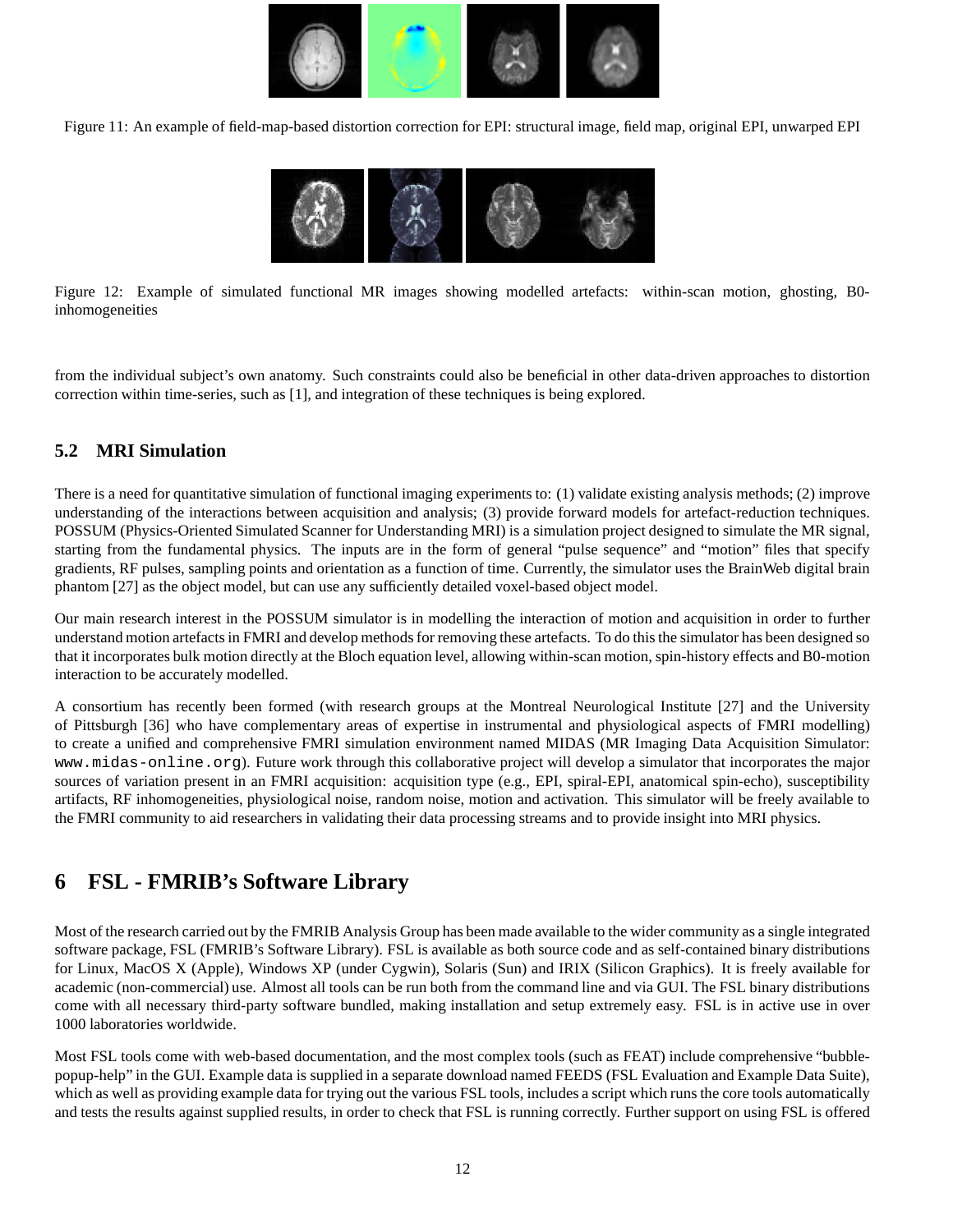

Figure 11: An example of field-map-based distortion correction for EPI: structural image, field map, original EPI, unwarped EPI



Figure 12: Example of simulated functional MR images showing modelled artefacts: within-scan motion, ghosting, B0 inhomogeneities

from the individual subject's own anatomy. Such constraints could also be beneficial in other data-driven approaches to distortion correction within time-series, such as [1], and integration of these techniques is being explored.

#### **5.2 MRI Simulation**

There is a need for quantitative simulation of functional imaging experiments to: (1) validate existing analysis methods; (2) improve understanding of the interactions between acquisition and analysis; (3) provide forward models for artefact-reduction techniques. POSSUM (Physics-Oriented Simulated Scanner for Understanding MRI) is a simulation project designed to simulate the MR signal, starting from the fundamental physics. The inputs are in the form of general "pulse sequence" and "motion" files that specify gradients, RF pulses, sampling points and orientation as a function of time. Currently, the simulator uses the BrainWeb digital brain phantom [27] as the object model, but can use any sufficiently detailed voxel-based object model.

Our main research interest in the POSSUM simulator is in modelling the interaction of motion and acquisition in order to further understand motion artefacts in FMRI and develop methods for removing these artefacts. To do this the simulator has been designed so that it incorporates bulk motion directly at the Bloch equation level, allowing within-scan motion, spin-history effects and B0-motion interaction to be accurately modelled.

A consortium has recently been formed (with research groups at the Montreal Neurological Institute [27] and the University of Pittsburgh [36] who have complementary areas of expertise in instrumental and physiological aspects of FMRI modelling) to create a unified and comprehensive FMRI simulation environment named MIDAS (MR Imaging Data Acquisition Simulator: www.midas-online.org). Future work through this collaborative project will develop a simulator that incorporates the major sources of variation present in an FMRI acquisition: acquisition type (e.g., EPI, spiral-EPI, anatomical spin-echo), susceptibility artifacts, RF inhomogeneities, physiological noise, random noise, motion and activation. This simulator will be freely available to the FMRI community to aid researchers in validating their data processing streams and to provide insight into MRI physics.

### **6 FSL - FMRIB's Software Library**

Most of the research carried out by the FMRIB Analysis Group has been made available to the wider community as a single integrated software package, FSL (FMRIB's Software Library). FSL is available as both source code and as self-contained binary distributions for Linux, MacOS X (Apple), Windows XP (under Cygwin), Solaris (Sun) and IRIX (Silicon Graphics). It is freely available for academic (non-commercial) use. Almost all tools can be run both from the command line and via GUI. The FSL binary distributions come with all necessary third-party software bundled, making installation and setup extremely easy. FSL is in active use in over 1000 laboratories worldwide.

Most FSL tools come with web-based documentation, and the most complex tools (such as FEAT) include comprehensive "bubblepopup-help" in the GUI. Example data is supplied in a separate download named FEEDS (FSL Evaluation and Example Data Suite), which as well as providing example data for trying out the various FSL tools, includes a script which runs the core tools automatically and tests the results against supplied results, in order to check that FSL is running correctly. Further support on using FSL is offered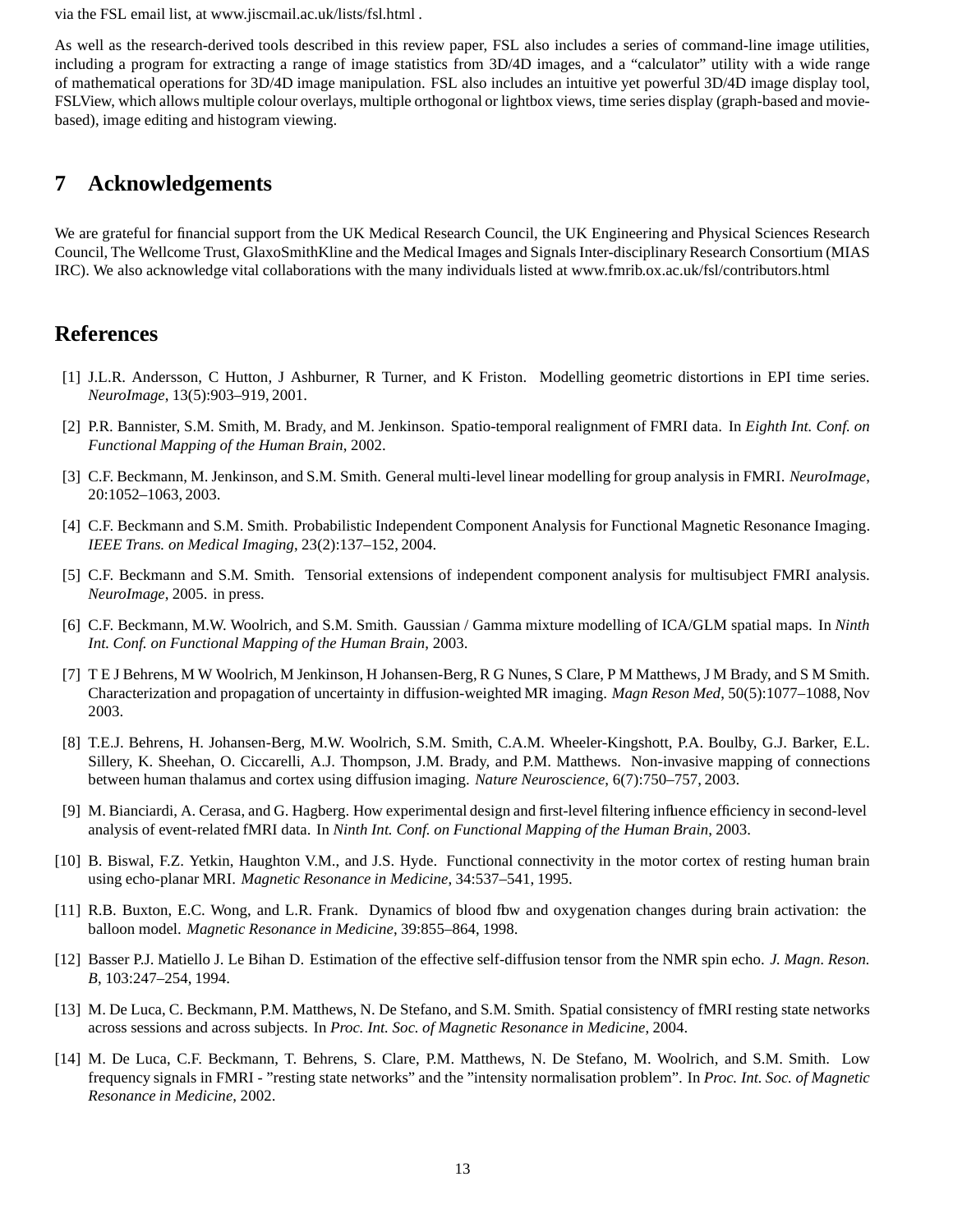via the FSL email list, at www.jiscmail.ac.uk/lists/fsl.html .

As well as the research-derived tools described in this review paper, FSL also includes a series of command-line image utilities, including a program for extracting a range of image statistics from 3D/4D images, and a "calculator" utility with a wide range of mathematical operations for 3D/4D image manipulation. FSL also includes an intuitive yet powerful 3D/4D image display tool, FSLView, which allows multiple colour overlays, multiple orthogonal or lightbox views, time series display (graph-based and moviebased), image editing and histogram viewing.

### **7 Acknowledgements**

We are grateful for financial support from the UK Medical Research Council, the UK Engineering and Physical Sciences Research Council, The Wellcome Trust, GlaxoSmithKline and the Medical Images and Signals Inter-disciplinary Research Consortium (MIAS IRC). We also acknowledge vital collaborations with the many individuals listed at www.fmrib.ox.ac.uk/fsl/contributors.html

### **References**

- [1] J.L.R. Andersson, C Hutton, J Ashburner, R Turner, and K Friston. Modelling geometric distortions in EPI time series. *NeuroImage*, 13(5):903–919, 2001.
- [2] P.R. Bannister, S.M. Smith, M. Brady, and M. Jenkinson. Spatio-temporal realignment of FMRI data. In *Eighth Int. Conf. on Functional Mapping of the Human Brain*, 2002.
- [3] C.F. Beckmann, M. Jenkinson, and S.M. Smith. General multi-level linear modelling for group analysis in FMRI. *NeuroImage*, 20:1052–1063, 2003.
- [4] C.F. Beckmann and S.M. Smith. Probabilistic Independent Component Analysis for Functional Magnetic Resonance Imaging. *IEEE Trans. on Medical Imaging*, 23(2):137–152, 2004.
- [5] C.F. Beckmann and S.M. Smith. Tensorial extensions of independent component analysis for multisubject FMRI analysis. *NeuroImage*, 2005. in press.
- [6] C.F. Beckmann, M.W. Woolrich, and S.M. Smith. Gaussian / Gamma mixture modelling of ICA/GLM spatial maps. In *Ninth Int. Conf. on Functional Mapping of the Human Brain*, 2003.
- [7] T E J Behrens, M W Woolrich, M Jenkinson, H Johansen-Berg, R G Nunes, S Clare, P M Matthews, J M Brady, and S M Smith. Characterization and propagation of uncertainty in diffusion-weighted MR imaging. *Magn Reson Med*, 50(5):1077–1088, Nov 2003.
- [8] T.E.J. Behrens, H. Johansen-Berg, M.W. Woolrich, S.M. Smith, C.A.M. Wheeler-Kingshott, P.A. Boulby, G.J. Barker, E.L. Sillery, K. Sheehan, O. Ciccarelli, A.J. Thompson, J.M. Brady, and P.M. Matthews. Non-invasive mapping of connections between human thalamus and cortex using diffusion imaging. *Nature Neuroscience*, 6(7):750–757, 2003.
- [9] M. Bianciardi, A. Cerasa, and G. Hagberg. How experimental design and first-level filtering influence efficiency in second-level analysis of event-related fMRI data. In *Ninth Int. Conf. on Functional Mapping of the Human Brain*, 2003.
- [10] B. Biswal, F.Z. Yetkin, Haughton V.M., and J.S. Hyde. Functional connectivity in the motor cortex of resting human brain using echo-planar MRI. *Magnetic Resonance in Medicine*, 34:537–541, 1995.
- [11] R.B. Buxton, E.C. Wong, and L.R. Frank. Dynamics of blood flow and oxygenation changes during brain activation: the balloon model. *Magnetic Resonance in Medicine*, 39:855–864, 1998.
- [12] Basser P.J. Matiello J. Le Bihan D. Estimation of the effective self-diffusion tensor from the NMR spin echo. *J. Magn. Reson. B*, 103:247–254, 1994.
- [13] M. De Luca, C. Beckmann, P.M. Matthews, N. De Stefano, and S.M. Smith. Spatial consistency of fMRI resting state networks across sessions and across subjects. In *Proc. Int. Soc. of Magnetic Resonance in Medicine*, 2004.
- [14] M. De Luca, C.F. Beckmann, T. Behrens, S. Clare, P.M. Matthews, N. De Stefano, M. Woolrich, and S.M. Smith. Low frequency signals in FMRI - "resting state networks" and the "intensity normalisation problem". In *Proc. Int. Soc. of Magnetic Resonance in Medicine*, 2002.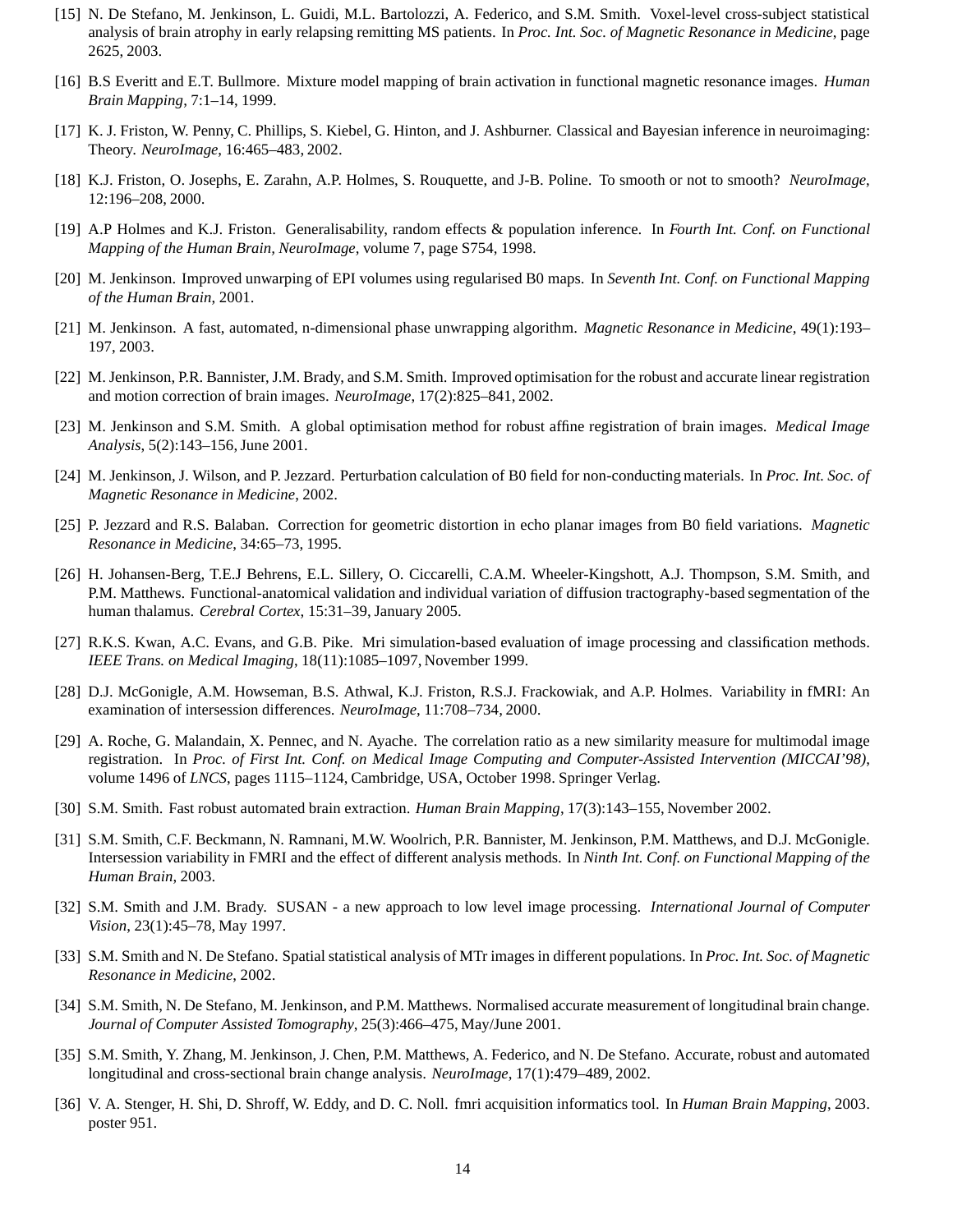- [15] N. De Stefano, M. Jenkinson, L. Guidi, M.L. Bartolozzi, A. Federico, and S.M. Smith. Voxel-level cross-subject statistical analysis of brain atrophy in early relapsing remitting MS patients. In *Proc. Int. Soc. of Magnetic Resonance in Medicine*, page 2625, 2003.
- [16] B.S Everitt and E.T. Bullmore. Mixture model mapping of brain activation in functional magnetic resonance images. *Human Brain Mapping*, 7:1–14, 1999.
- [17] K. J. Friston, W. Penny, C. Phillips, S. Kiebel, G. Hinton, and J. Ashburner. Classical and Bayesian inference in neuroimaging: Theory. *NeuroImage*, 16:465–483, 2002.
- [18] K.J. Friston, O. Josephs, E. Zarahn, A.P. Holmes, S. Rouquette, and J-B. Poline. To smooth or not to smooth? *NeuroImage*, 12:196–208, 2000.
- [19] A.P Holmes and K.J. Friston. Generalisability, random effects & population inference. In *Fourth Int. Conf. on Functional Mapping of the Human Brain, NeuroImage*, volume 7, page S754, 1998.
- [20] M. Jenkinson. Improved unwarping of EPI volumes using regularised B0 maps. In *Seventh Int. Conf. on Functional Mapping of the Human Brain*, 2001.
- [21] M. Jenkinson. A fast, automated, n-dimensional phase unwrapping algorithm. *Magnetic Resonance in Medicine*, 49(1):193– 197, 2003.
- [22] M. Jenkinson, P.R. Bannister, J.M. Brady, and S.M. Smith. Improved optimisation for the robust and accurate linear registration and motion correction of brain images. *NeuroImage*, 17(2):825–841, 2002.
- [23] M. Jenkinson and S.M. Smith. A global optimisation method for robust affine registration of brain images. *Medical Image Analysis*, 5(2):143–156,June 2001.
- [24] M. Jenkinson, J. Wilson, and P. Jezzard. Perturbation calculation of B0 field for non-conducting materials. In *Proc. Int. Soc. of Magnetic Resonance in Medicine*, 2002.
- [25] P. Jezzard and R.S. Balaban. Correction for geometric distortion in echo planar images from B0 field variations. *Magnetic Resonance in Medicine*, 34:65–73, 1995.
- [26] H. Johansen-Berg, T.E.J Behrens, E.L. Sillery, O. Ciccarelli, C.A.M. Wheeler-Kingshott, A.J. Thompson, S.M. Smith, and P.M. Matthews. Functional-anatomical validation and individual variation of diffusion tractography-based segmentation of the human thalamus. *Cerebral Cortex*, 15:31–39, January 2005.
- [27] R.K.S. Kwan, A.C. Evans, and G.B. Pike. Mri simulation-based evaluation of image processing and classification methods. *IEEE Trans. on Medical Imaging*, 18(11):1085–1097, November 1999.
- [28] D.J. McGonigle, A.M. Howseman, B.S. Athwal, K.J. Friston, R.S.J. Frackowiak, and A.P. Holmes. Variability in fMRI: An examination of intersession differences. *NeuroImage*, 11:708–734, 2000.
- [29] A. Roche, G. Malandain, X. Pennec, and N. Ayache. The correlation ratio as a new similarity measure for multimodal image registration. In *Proc. of First Int. Conf. on Medical Image Computing and Computer-Assisted Intervention (MICCAI'98)*, volume 1496 of *LNCS*, pages 1115–1124, Cambridge, USA, October 1998. Springer Verlag.
- [30] S.M. Smith. Fast robust automated brain extraction. *Human Brain Mapping*, 17(3):143–155, November 2002.
- [31] S.M. Smith, C.F. Beckmann, N. Ramnani, M.W. Woolrich, P.R. Bannister, M. Jenkinson, P.M. Matthews, and D.J. McGonigle. Intersession variability in FMRI and the effect of different analysis methods. In *Ninth Int. Conf. on Functional Mapping of the Human Brain*, 2003.
- [32] S.M. Smith and J.M. Brady. SUSAN a new approach to low level image processing. *International Journal of Computer Vision*, 23(1):45–78, May 1997.
- [33] S.M. Smith and N. De Stefano. Spatial statistical analysis of MTr images in different populations. In *Proc. Int. Soc. of Magnetic Resonance in Medicine*, 2002.
- [34] S.M. Smith, N. De Stefano, M. Jenkinson, and P.M. Matthews. Normalised accurate measurement of longitudinal brain change. *Journal of Computer Assisted Tomography*, 25(3):466–475, May/June 2001.
- [35] S.M. Smith, Y. Zhang, M. Jenkinson, J. Chen, P.M. Matthews, A. Federico, and N. De Stefano. Accurate, robust and automated longitudinal and cross-sectional brain change analysis. *NeuroImage*, 17(1):479–489, 2002.
- [36] V. A. Stenger, H. Shi, D. Shroff, W. Eddy, and D. C. Noll. fmri acquisition informatics tool. In *Human Brain Mapping*, 2003. poster 951.